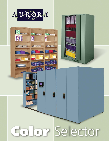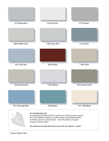

\* Aurora Xpress Color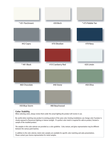

Be careful when matching new product to existing product of the same color. Existing installations can change color if product is closely exposed to fluorescent lighting or intense sunlight. If a perfect color match is required for add-on product, forward a sample of the installed product.

The samples in this color selector are provided as a color guideline. Color, texture, and gloss representation may be different between the various paint batches.

In addition to the color selector, metal color samples are available for specific color matching and sales presentations. Please contact your Aurora representative for metal samples.